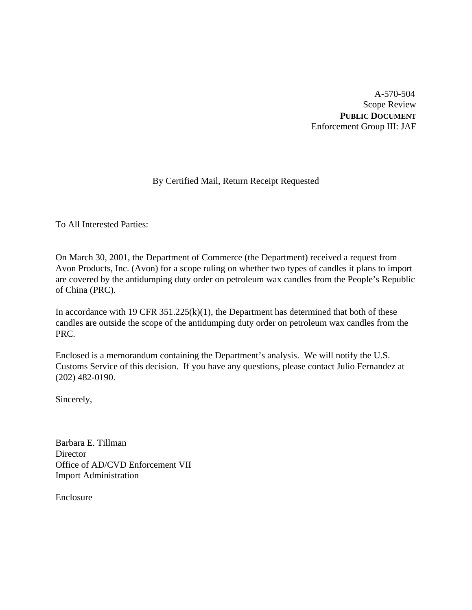A-570-504 Scope Review **PUBLIC DOCUMENT** Enforcement Group III: JAF

# By Certified Mail, Return Receipt Requested

To All Interested Parties:

On March 30, 2001, the Department of Commerce (the Department) received a request from Avon Products, Inc. (Avon) for a scope ruling on whether two types of candles it plans to import are covered by the antidumping duty order on petroleum wax candles from the People's Republic of China (PRC).

In accordance with 19 CFR  $351.225(k)(1)$ , the Department has determined that both of these candles are outside the scope of the antidumping duty order on petroleum wax candles from the PRC.

Enclosed is a memorandum containing the Department's analysis. We will notify the U.S. Customs Service of this decision. If you have any questions, please contact Julio Fernandez at (202) 482-0190.

Sincerely,

Barbara E. Tillman **Director** Office of AD/CVD Enforcement VII Import Administration

Enclosure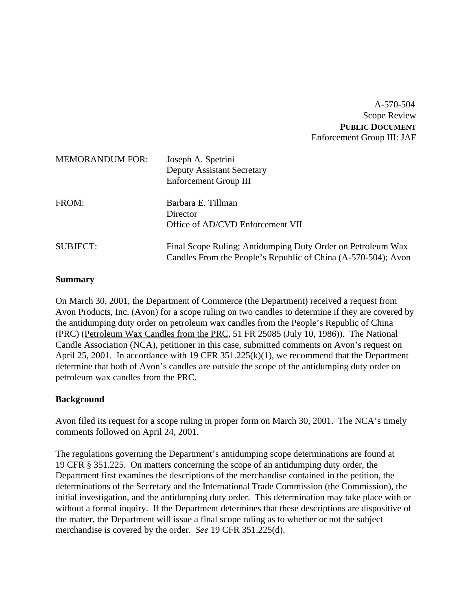A-570-504 Scope Review **PUBLIC DOCUMENT** Enforcement Group III: JAF

| <b>MEMORANDUM FOR:</b> | Joseph A. Spetrini<br><b>Deputy Assistant Secretary</b><br><b>Enforcement Group III</b>                                      |
|------------------------|------------------------------------------------------------------------------------------------------------------------------|
| FROM:                  | Barbara E. Tillman<br>Director<br>Office of AD/CVD Enforcement VII                                                           |
| <b>SUBJECT:</b>        | Final Scope Ruling; Antidumping Duty Order on Petroleum Wax<br>Candles From the People's Republic of China (A-570-504); Avon |

### **Summary**

On March 30, 2001, the Department of Commerce (the Department) received a request from Avon Products, Inc. (Avon) for a scope ruling on two candles to determine if they are covered by the antidumping duty order on petroleum wax candles from the People's Republic of China (PRC) (Petroleum Wax Candles from the PRC, 51 FR 25085 (July 10, 1986)). The National Candle Association (NCA), petitioner in this case, submitted comments on Avon's request on April 25, 2001. In accordance with 19 CFR 351.225(k)(1), we recommend that the Department determine that both of Avon's candles are outside the scope of the antidumping duty order on petroleum wax candles from the PRC.

#### **Background**

Avon filed its request for a scope ruling in proper form on March 30, 2001. The NCA's timely comments followed on April 24, 2001.

The regulations governing the Department's antidumping scope determinations are found at 19 CFR § 351.225. On matters concerning the scope of an antidumping duty order, the Department first examines the descriptions of the merchandise contained in the petition, the determinations of the Secretary and the International Trade Commission (the Commission), the initial investigation, and the antidumping duty order. This determination may take place with or without a formal inquiry. If the Department determines that these descriptions are dispositive of the matter, the Department will issue a final scope ruling as to whether or not the subject merchandise is covered by the order. *See* 19 CFR 351.225(d).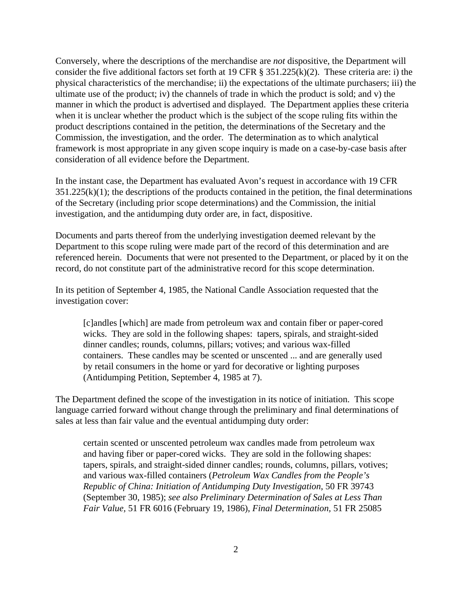Conversely, where the descriptions of the merchandise are *not* dispositive, the Department will consider the five additional factors set forth at 19 CFR § 351.225(k)(2). These criteria are: i) the physical characteristics of the merchandise; ii) the expectations of the ultimate purchasers; iii) the ultimate use of the product; iv) the channels of trade in which the product is sold; and v) the manner in which the product is advertised and displayed. The Department applies these criteria when it is unclear whether the product which is the subject of the scope ruling fits within the product descriptions contained in the petition, the determinations of the Secretary and the Commission, the investigation, and the order. The determination as to which analytical framework is most appropriate in any given scope inquiry is made on a case-by-case basis after consideration of all evidence before the Department.

In the instant case, the Department has evaluated Avon's request in accordance with 19 CFR  $351.225(k)(1)$ ; the descriptions of the products contained in the petition, the final determinations of the Secretary (including prior scope determinations) and the Commission, the initial investigation, and the antidumping duty order are, in fact, dispositive.

Documents and parts thereof from the underlying investigation deemed relevant by the Department to this scope ruling were made part of the record of this determination and are referenced herein. Documents that were not presented to the Department, or placed by it on the record, do not constitute part of the administrative record for this scope determination.

In its petition of September 4, 1985, the National Candle Association requested that the investigation cover:

[c]andles [which] are made from petroleum wax and contain fiber or paper-cored wicks. They are sold in the following shapes: tapers, spirals, and straight-sided dinner candles; rounds, columns, pillars; votives; and various wax-filled containers. These candles may be scented or unscented ... and are generally used by retail consumers in the home or yard for decorative or lighting purposes (Antidumping Petition, September 4, 1985 at 7).

The Department defined the scope of the investigation in its notice of initiation. This scope language carried forward without change through the preliminary and final determinations of sales at less than fair value and the eventual antidumping duty order:

certain scented or unscented petroleum wax candles made from petroleum wax and having fiber or paper-cored wicks. They are sold in the following shapes: tapers, spirals, and straight-sided dinner candles; rounds, columns, pillars, votives; and various wax-filled containers (*Petroleum Wax Candles from the People's Republic of China: Initiation of Antidumping Duty Investigation*, 50 FR 39743 (September 30, 1985); *see also Preliminary Determination of Sales at Less Than Fair Value,* 51 FR 6016 (February 19, 1986), *Final Determination,* 51 FR 25085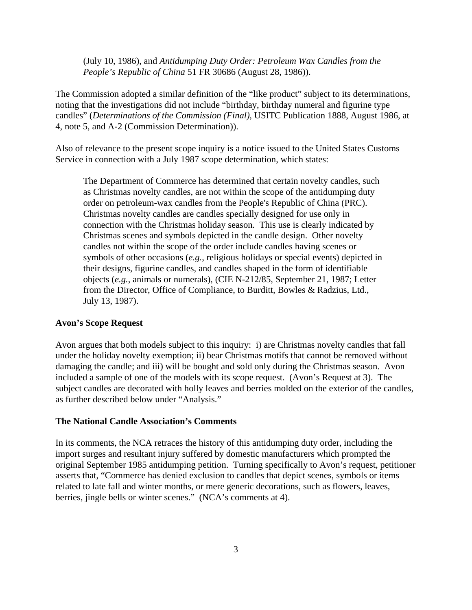(July 10, 1986), and *Antidumping Duty Order: Petroleum Wax Candles from the People's Republic of China* 51 FR 30686 (August 28, 1986)).

The Commission adopted a similar definition of the "like product" subject to its determinations, noting that the investigations did not include "birthday, birthday numeral and figurine type candles" (*Determinations of the Commission (Final)*, USITC Publication 1888, August 1986, at 4, note 5, and A-2 (Commission Determination)).

Also of relevance to the present scope inquiry is a notice issued to the United States Customs Service in connection with a July 1987 scope determination, which states:

The Department of Commerce has determined that certain novelty candles, such as Christmas novelty candles, are not within the scope of the antidumping duty order on petroleum-wax candles from the People's Republic of China (PRC). Christmas novelty candles are candles specially designed for use only in connection with the Christmas holiday season. This use is clearly indicated by Christmas scenes and symbols depicted in the candle design. Other novelty candles not within the scope of the order include candles having scenes or symbols of other occasions (*e.g.*, religious holidays or special events) depicted in their designs, figurine candles, and candles shaped in the form of identifiable objects (*e.g.*, animals or numerals), (CIE N-212/85, September 21, 1987; Letter from the Director, Office of Compliance, to Burditt, Bowles & Radzius, Ltd., July 13, 1987).

## **Avon's Scope Request**

Avon argues that both models subject to this inquiry: i) are Christmas novelty candles that fall under the holiday novelty exemption; ii) bear Christmas motifs that cannot be removed without damaging the candle; and iii) will be bought and sold only during the Christmas season. Avon included a sample of one of the models with its scope request. (Avon's Request at 3). The subject candles are decorated with holly leaves and berries molded on the exterior of the candles, as further described below under "Analysis."

#### **The National Candle Association's Comments**

In its comments, the NCA retraces the history of this antidumping duty order, including the import surges and resultant injury suffered by domestic manufacturers which prompted the original September 1985 antidumping petition. Turning specifically to Avon's request, petitioner asserts that, "Commerce has denied exclusion to candles that depict scenes, symbols or items related to late fall and winter months, or mere generic decorations, such as flowers, leaves, berries, jingle bells or winter scenes." (NCA's comments at 4).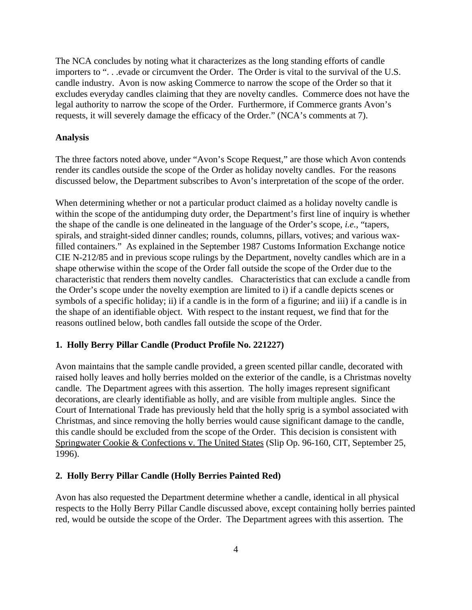The NCA concludes by noting what it characterizes as the long standing efforts of candle importers to ". . .evade or circumvent the Order. The Order is vital to the survival of the U.S. candle industry. Avon is now asking Commerce to narrow the scope of the Order so that it excludes everyday candles claiming that they are novelty candles. Commerce does not have the legal authority to narrow the scope of the Order. Furthermore, if Commerce grants Avon's requests, it will severely damage the efficacy of the Order." (NCA's comments at 7).

#### **Analysis**

The three factors noted above, under "Avon's Scope Request," are those which Avon contends render its candles outside the scope of the Order as holiday novelty candles. For the reasons discussed below, the Department subscribes to Avon's interpretation of the scope of the order.

When determining whether or not a particular product claimed as a holiday novelty candle is within the scope of the antidumping duty order, the Department's first line of inquiry is whether the shape of the candle is one delineated in the language of the Order's scope, *i.e.*, "tapers, spirals, and straight-sided dinner candles; rounds, columns, pillars, votives; and various waxfilled containers." As explained in the September 1987 Customs Information Exchange notice CIE N-212/85 and in previous scope rulings by the Department, novelty candles which are in a shape otherwise within the scope of the Order fall outside the scope of the Order due to the characteristic that renders them novelty candles. Characteristics that can exclude a candle from the Order's scope under the novelty exemption are limited to i) if a candle depicts scenes or symbols of a specific holiday; ii) if a candle is in the form of a figurine; and iii) if a candle is in the shape of an identifiable object. With respect to the instant request, we find that for the reasons outlined below, both candles fall outside the scope of the Order.

## **1. Holly Berry Pillar Candle (Product Profile No. 221227)**

Avon maintains that the sample candle provided, a green scented pillar candle, decorated with raised holly leaves and holly berries molded on the exterior of the candle, is a Christmas novelty candle. The Department agrees with this assertion. The holly images represent significant decorations, are clearly identifiable as holly, and are visible from multiple angles. Since the Court of International Trade has previously held that the holly sprig is a symbol associated with Christmas, and since removing the holly berries would cause significant damage to the candle, this candle should be excluded from the scope of the Order. This decision is consistent with Springwater Cookie & Confections v. The United States (Slip Op. 96-160, CIT, September 25, 1996).

#### **2. Holly Berry Pillar Candle (Holly Berries Painted Red)**

Avon has also requested the Department determine whether a candle, identical in all physical respects to the Holly Berry Pillar Candle discussed above, except containing holly berries painted red, would be outside the scope of the Order. The Department agrees with this assertion. The